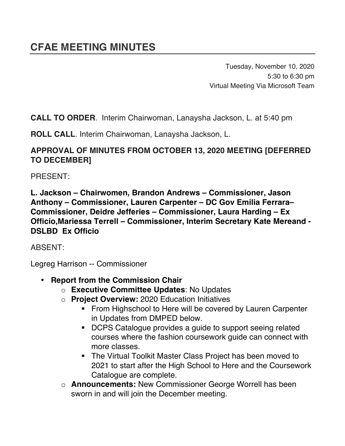Tuesday, November 10, 2020 5:30 to 6:30 pm Virtual Meeting Via Microsoft Team

**CALL TO ORDER**. Interim Chairwoman, Lanaysha Jackson, L. at 5:40 pm

**ROLL CALL**. Interim Chairwoman, Lanaysha Jackson, L.

## **APPROVAL OF MINUTES FROM OCTOBER 13, 2020 MEETING [DEFERRED TO DECEMBER]**

PRESENT:

**L. Jackson – Chairwomen, Brandon Andrews – Commissioner, Jason Anthony – Commissioner, Lauren Carpenter – DC Gov Emilia Ferrara– Commissioner, Deidre Jefferies – Commissioner, Laura Harding – Ex Officio,Mariessa Terrell – Commissioner, Interim Secretary Kate Mereand - DSLBD Ex Officio**

ABSENT:

Legreg Harrison -- Commissioner

- **Report from the Commission Chair** 
	- o **Executive Committee Updates**: No Updates
	- o **Project Overview:** 2020 Education Initiatives
		- **EXECT From Highschool to Here will be covered by Lauren Carpenter** in Updates from DMPED below.
		- ! DCPS Catalogue provides a guide to support seeing related courses where the fashion coursework guide can connect with more classes.
		- ! The Virtual Toolkit Master Class Project has been moved to 2021 to start after the High School to Here and the Coursework Catalogue are complete.
	- o **Announcements:** New Commissioner George Worrell has been sworn in and will join the December meeting.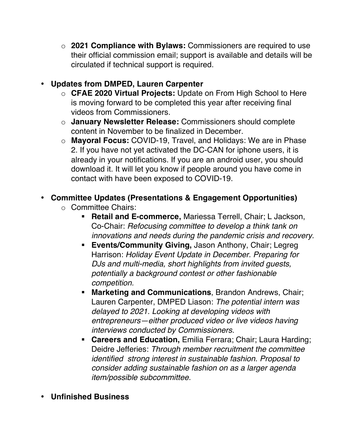o **2021 Compliance with Bylaws:** Commissioners are required to use their official commission email; support is available and details will be circulated if technical support is required.

## • **Updates from DMPED, Lauren Carpenter**

- o **CFAE 2020 Virtual Projects:** Update on From High School to Here is moving forward to be completed this year after receiving final videos from Commissioners.
- o **January Newsletter Release:** Commissioners should complete content in November to be finalized in December.
- o **Mayoral Focus:** COVID-19, Travel, and Holidays: We are in Phase 2. If you have not yet activated the DC-CAN for iphone users, it is already in your notifications. If you are an android user, you should download it. It will let you know if people around you have come in contact with have been exposed to COVID-19.

## • **Committee Updates (Presentations & Engagement Opportunities)**

- o Committee Chairs:
	- ! **Retail and E-commerce,** Mariessa Terrell, Chair; L Jackson, Co-Chair: *Refocusing committee to develop a think tank on innovations and needs during the pandemic crisis and recovery.*
	- ! **Events/Community Giving,** Jason Anthony, Chair; Legreg Harrison: *Holiday Event Update in December. Preparing for DJs and multi-media, short highlights from invited guests, potentially a background contest or other fashionable competition.*
	- ! **Marketing and Communications**, Brandon Andrews, Chair; Lauren Carpenter, DMPED Liason: *The potential intern was delayed to 2021. Looking at developing videos with entrepreneurs—either produced video or live videos having interviews conducted by Commissioners.*
	- ! **Careers and Education,** Emilia Ferrara; Chair; Laura Harding; Deidre Jefferies: *Through member recruitment the committee identified strong interest in sustainable fashion. Proposal to consider adding sustainable fashion on as a larger agenda item/possible subcommittee.*
- **Unfinished Business**